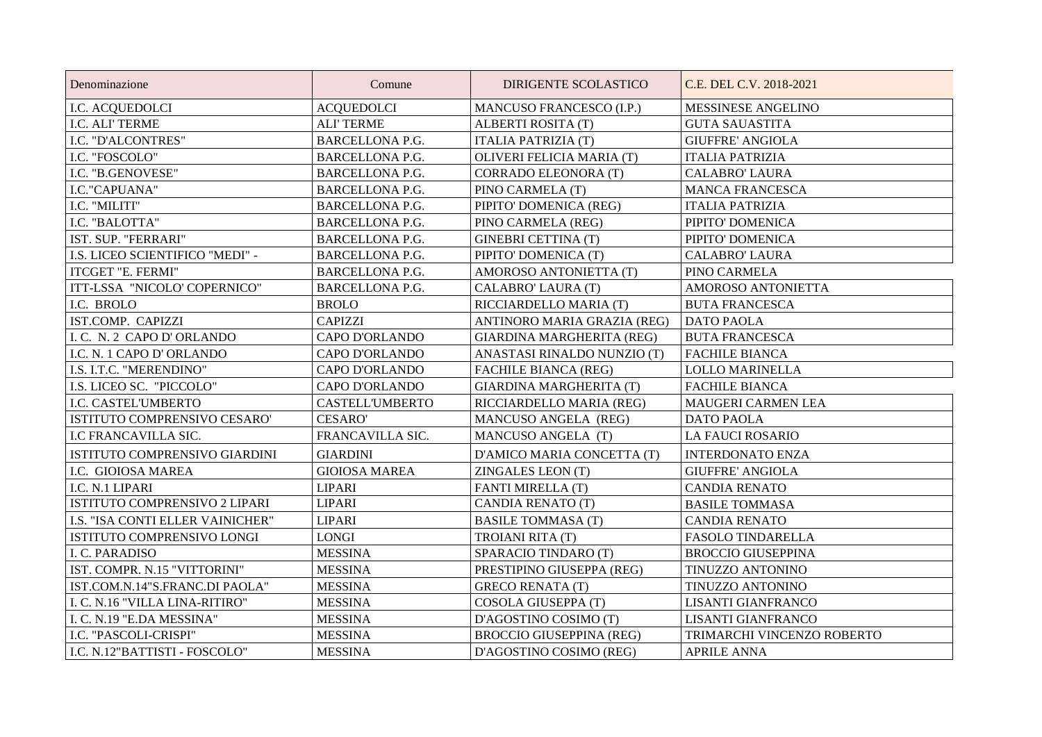| Denominazione                    | Comune                 | DIRIGENTE SCOLASTICO             | C.E. DEL C.V. 2018-2021    |
|----------------------------------|------------------------|----------------------------------|----------------------------|
| I.C. ACQUEDOLCI                  | <b>ACQUEDOLCI</b>      | MANCUSO FRANCESCO (I.P.)         | <b>MESSINESE ANGELINO</b>  |
| I.C. ALI' TERME                  | <b>ALI' TERME</b>      | ALBERTI ROSITA (T)               | <b>GUTA SAUASTITA</b>      |
| I.C. "D'ALCONTRES"               | <b>BARCELLONA P.G.</b> | <b>ITALIA PATRIZIA (T)</b>       | <b>GIUFFRE' ANGIOLA</b>    |
| I.C. "FOSCOLO"                   | <b>BARCELLONA P.G.</b> | OLIVERI FELICIA MARIA (T)        | <b>ITALIA PATRIZIA</b>     |
| I.C. "B.GENOVESE"                | <b>BARCELLONA P.G.</b> | <b>CORRADO ELEONORA (T)</b>      | <b>CALABRO' LAURA</b>      |
| I.C."CAPUANA"                    | <b>BARCELLONA P.G.</b> | PINO CARMELA (T)                 | <b>MANCA FRANCESCA</b>     |
| I.C. "MILITI"                    | <b>BARCELLONA P.G.</b> | PIPITO' DOMENICA (REG)           | <b>ITALIA PATRIZIA</b>     |
| I.C. "BALOTTA"                   | <b>BARCELLONA P.G.</b> | PINO CARMELA (REG)               | PIPITO' DOMENICA           |
| IST. SUP. "FERRARI"              | <b>BARCELLONA P.G.</b> | <b>GINEBRI CETTINA (T)</b>       | PIPITO' DOMENICA           |
| I.S. LICEO SCIENTIFICO "MEDI" -  | <b>BARCELLONA P.G.</b> | PIPITO' DOMENICA (T)             | <b>CALABRO' LAURA</b>      |
| ITCGET "E. FERMI"                | <b>BARCELLONA P.G.</b> | AMOROSO ANTONIETTA (T)           | PINO CARMELA               |
| ITT-LSSA "NICOLO' COPERNICO"     | <b>BARCELLONA P.G.</b> | CALABRO' LAURA (T)               | AMOROSO ANTONIETTA         |
| I.C. BROLO                       | <b>BROLO</b>           | RICCIARDELLO MARIA (T)           | <b>BUTA FRANCESCA</b>      |
| IST.COMP. CAPIZZI                | <b>CAPIZZI</b>         | ANTINORO MARIA GRAZIA (REG)      | <b>DATO PAOLA</b>          |
| I.C. N. 2 CAPO D' ORLANDO        | <b>CAPO D'ORLANDO</b>  | <b>GIARDINA MARGHERITA (REG)</b> | <b>BUTA FRANCESCA</b>      |
| I.C. N. 1 CAPO D' ORLANDO        | <b>CAPO D'ORLANDO</b>  | ANASTASI RINALDO NUNZIO (T)      | <b>FACHILE BIANCA</b>      |
| I.S. I.T.C. "MERENDINO"          | <b>CAPO D'ORLANDO</b>  | <b>FACHILE BIANCA (REG)</b>      | LOLLO MARINELLA            |
| I.S. LICEO SC. "PICCOLO"         | <b>CAPO D'ORLANDO</b>  | <b>GIARDINA MARGHERITA (T)</b>   | <b>FACHILE BIANCA</b>      |
| I.C. CASTEL'UMBERTO              | <b>CASTELL'UMBERTO</b> | RICCIARDELLO MARIA (REG)         | <b>MAUGERI CARMEN LEA</b>  |
| ISTITUTO COMPRENSIVO CESARO'     | <b>CESARO'</b>         | MANCUSO ANGELA (REG)             | <b>DATO PAOLA</b>          |
| <b>I.C FRANCAVILLA SIC.</b>      | FRANCAVILLA SIC.       | MANCUSO ANGELA (T)               | <b>LA FAUCI ROSARIO</b>    |
| ISTITUTO COMPRENSIVO GIARDINI    | <b>GIARDINI</b>        | D'AMICO MARIA CONCETTA (T)       | <b>INTERDONATO ENZA</b>    |
| I.C. GIOIOSA MAREA               | <b>GIOIOSA MAREA</b>   | ZINGALES LEON (T)                | <b>GIUFFRE' ANGIOLA</b>    |
| I.C. N.1 LIPARI                  | <b>LIPARI</b>          | FANTI MIRELLA (T)                | <b>CANDIA RENATO</b>       |
| ISTITUTO COMPRENSIVO 2 LIPARI    | <b>LIPARI</b>          | CANDIA RENATO (T)                | <b>BASILE TOMMASA</b>      |
| I.S. "ISA CONTI ELLER VAINICHER" | <b>LIPARI</b>          | <b>BASILE TOMMASA (T)</b>        | <b>CANDIA RENATO</b>       |
| ISTITUTO COMPRENSIVO LONGI       | <b>LONGI</b>           | TROIANI RITA (T)                 | <b>FASOLO TINDARELLA</b>   |
| I. C. PARADISO                   | <b>MESSINA</b>         | SPARACIO TINDARO (T)             | <b>BROCCIO GIUSEPPINA</b>  |
| IST. COMPR. N.15 "VITTORINI"     | <b>MESSINA</b>         | PRESTIPINO GIUSEPPA (REG)        | TINUZZO ANTONINO           |
| IST.COM.N.14"S.FRANC.DI PAOLA"   | <b>MESSINA</b>         | <b>GRECO RENATA (T)</b>          | TINUZZO ANTONINO           |
| I. C. N.16 "VILLA LINA-RITIRO"   | <b>MESSINA</b>         | COSOLA GIUSEPPA (T)              | LISANTI GIANFRANCO         |
| I. C. N.19 "E.DA MESSINA"        | <b>MESSINA</b>         | D'AGOSTINO COSIMO (T)            | <b>LISANTI GIANFRANCO</b>  |
| I.C. "PASCOLI-CRISPI"            | <b>MESSINA</b>         | <b>BROCCIO GIUSEPPINA (REG)</b>  | TRIMARCHI VINCENZO ROBERTO |
| I.C. N.12"BATTISTI - FOSCOLO"    | <b>MESSINA</b>         | D'AGOSTINO COSIMO (REG)          | <b>APRILE ANNA</b>         |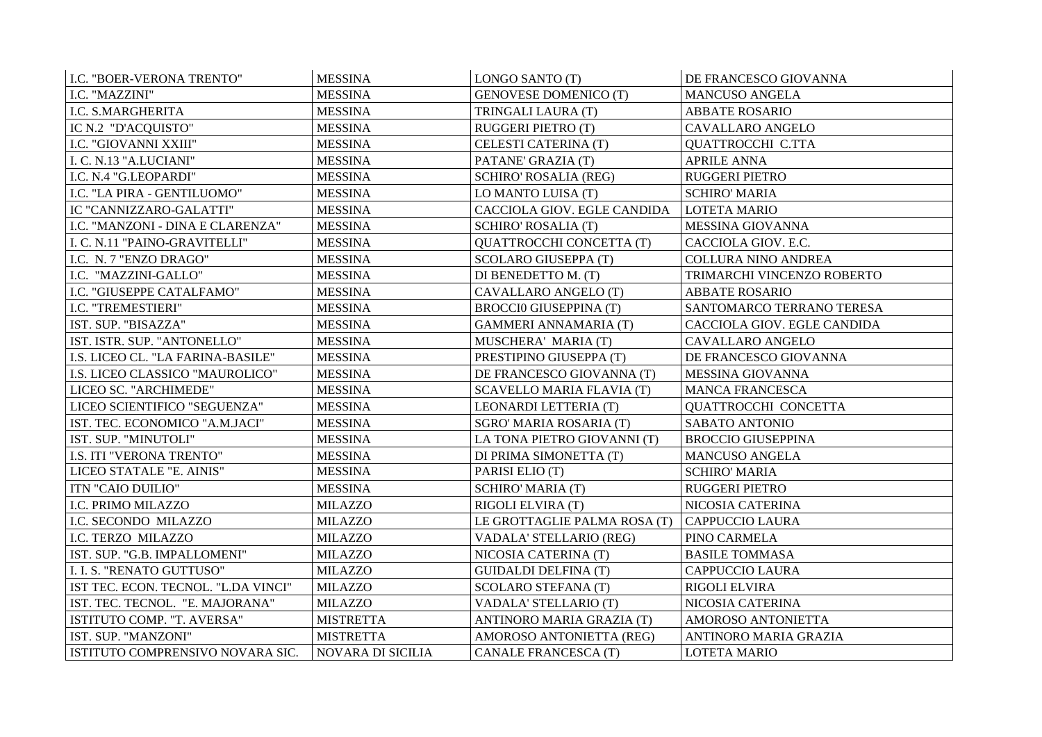| <b>I.C. "BOER-VERONA TRENTO"</b>         | <b>MESSINA</b>    | LONGO SANTO (T)                | DE FRANCESCO GIOVANNA       |
|------------------------------------------|-------------------|--------------------------------|-----------------------------|
| I.C. "MAZZINI"                           | <b>MESSINA</b>    | <b>GENOVESE DOMENICO (T)</b>   | <b>MANCUSO ANGELA</b>       |
| <b>I.C. S.MARGHERITA</b>                 | <b>MESSINA</b>    | TRINGALI LAURA (T)             | <b>ABBATE ROSARIO</b>       |
| IC N.2 "D'ACQUISTO"                      | <b>MESSINA</b>    | RUGGERI PIETRO (T)             | CAVALLARO ANGELO            |
| <b>I.C. "GIOVANNI XXIII"</b>             | <b>MESSINA</b>    | CELESTI CATERINA (T)           | <b>QUATTROCCHI C.TTA</b>    |
| I. C. N.13 "A.LUCIANI"                   | <b>MESSINA</b>    | PATANE' GRAZIA (T)             | <b>APRILE ANNA</b>          |
| <b>I.C. N.4 "G.LEOPARDI"</b>             | <b>MESSINA</b>    | SCHIRO' ROSALIA (REG)          | <b>RUGGERI PIETRO</b>       |
| <b>I.C. "LA PIRA - GENTILUOMO"</b>       | <b>MESSINA</b>    | LO MANTO LUISA (T)             | <b>SCHIRO' MARIA</b>        |
| IC "CANNIZZARO-GALATTI"                  | <b>MESSINA</b>    | CACCIOLA GIOV. EGLE CANDIDA    | <b>LOTETA MARIO</b>         |
| <b>I.C. "MANZONI - DINA E CLARENZA"</b>  | <b>MESSINA</b>    | <b>SCHIRO' ROSALIA (T)</b>     | <b>MESSINA GIOVANNA</b>     |
| I. C. N.11 "PAINO-GRAVITELLI"            | <b>MESSINA</b>    | QUATTROCCHI CONCETTA (T)       | CACCIOLA GIOV. E.C.         |
| I.C. N. 7 "ENZO DRAGO"                   | <b>MESSINA</b>    | SCOLARO GIUSEPPA (T)           | <b>COLLURA NINO ANDREA</b>  |
| I.C. "MAZZINI-GALLO"                     | <b>MESSINA</b>    | DI BENEDETTO M. (T)            | TRIMARCHI VINCENZO ROBERTO  |
| I.C. "GIUSEPPE CATALFAMO"                | <b>MESSINA</b>    | CAVALLARO ANGELO (T)           | <b>ABBATE ROSARIO</b>       |
| I.C. "TREMESTIERI"                       | <b>MESSINA</b>    | <b>BROCCIO GIUSEPPINA (T)</b>  | SANTOMARCO TERRANO TERESA   |
| IST. SUP. "BISAZZA"                      | <b>MESSINA</b>    | <b>GAMMERI ANNAMARIA (T)</b>   | CACCIOLA GIOV. EGLE CANDIDA |
| IST. ISTR. SUP. "ANTONELLO"              | <b>MESSINA</b>    | MUSCHERA' MARIA (T)            | CAVALLARO ANGELO            |
| <b>I.S. LICEO CL. "LA FARINA-BASILE"</b> | <b>MESSINA</b>    | PRESTIPINO GIUSEPPA (T)        | DE FRANCESCO GIOVANNA       |
| <b>I.S. LICEO CLASSICO "MAUROLICO"</b>   | <b>MESSINA</b>    | DE FRANCESCO GIOVANNA (T)      | MESSINA GIOVANNA            |
| LICEO SC. "ARCHIMEDE"                    | <b>MESSINA</b>    | SCAVELLO MARIA FLAVIA (T)      | <b>MANCA FRANCESCA</b>      |
| LICEO SCIENTIFICO "SEGUENZA"             | <b>MESSINA</b>    | LEONARDI LETTERIA (T)          | QUATTROCCHI CONCETTA        |
| IST. TEC. ECONOMICO "A.M.JACI"           | <b>MESSINA</b>    | SGRO' MARIA ROSARIA (T)        | SABATO ANTONIO              |
| IST. SUP. "MINUTOLI"                     | <b>MESSINA</b>    | LA TONA PIETRO GIOVANNI (T)    | <b>BROCCIO GIUSEPPINA</b>   |
| <b>I.S. ITI "VERONA TRENTO"</b>          | <b>MESSINA</b>    | DI PRIMA SIMONETTA (T)         | <b>MANCUSO ANGELA</b>       |
| LICEO STATALE "E. AINIS"                 | <b>MESSINA</b>    | PARISI ELIO (T)                | <b>SCHIRO' MARIA</b>        |
| ITN "CAIO DUILIO"                        | <b>MESSINA</b>    | <b>SCHIRO' MARIA (T)</b>       | <b>RUGGERI PIETRO</b>       |
| <b>I.C. PRIMO MILAZZO</b>                | <b>MILAZZO</b>    | RIGOLI ELVIRA (T)              | NICOSIA CATERINA            |
| <b>I.C. SECONDO MILAZZO</b>              | <b>MILAZZO</b>    | LE GROTTAGLIE PALMA ROSA (T)   | <b>CAPPUCCIO LAURA</b>      |
| <b>I.C. TERZO MILAZZO</b>                | <b>MILAZZO</b>    | <b>VADALA' STELLARIO (REG)</b> | PINO CARMELA                |
| IST. SUP. "G.B. IMPALLOMENI"             | <b>MILAZZO</b>    | NICOSIA CATERINA (T)           | <b>BASILE TOMMASA</b>       |
| <b>I. I. S. "RENATO GUTTUSO"</b>         | <b>MILAZZO</b>    | <b>GUIDALDI DELFINA (T)</b>    | <b>CAPPUCCIO LAURA</b>      |
| IST TEC. ECON. TECNOL. "L.DA VINCI"      | <b>MILAZZO</b>    | <b>SCOLARO STEFANA (T)</b>     | RIGOLI ELVIRA               |
| IST. TEC. TECNOL. "E. MAJORANA"          | <b>MILAZZO</b>    | VADALA' STELLARIO (T)          | NICOSIA CATERINA            |
| ISTITUTO COMP. "T. AVERSA"               | <b>MISTRETTA</b>  | ANTINORO MARIA GRAZIA (T)      | AMOROSO ANTONIETTA          |
| IST. SUP. "MANZONI"                      | <b>MISTRETTA</b>  | AMOROSO ANTONIETTA (REG)       | ANTINORO MARIA GRAZIA       |
| ISTITUTO COMPRENSIVO NOVARA SIC.         | NOVARA DI SICILIA | CANALE FRANCESCA (T)           | <b>LOTETA MARIO</b>         |